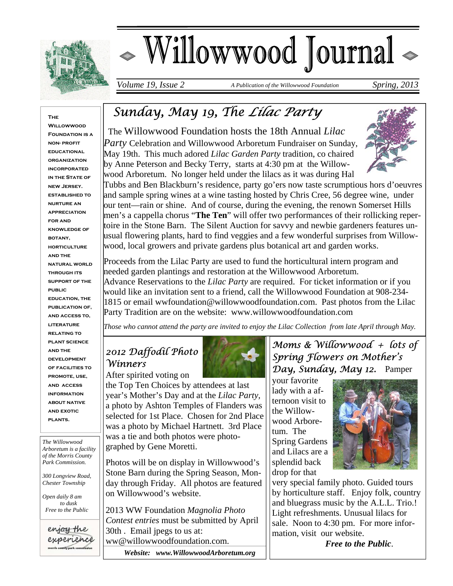

# - Willowwood Journal

*Volume 19, Issue 2 A Publication of the Willowwood Foundation Spring, 2013* 

#### **The Willowwood**

**FOUNDATION IS A non- profit educational organization incorporated IN THE STATE OF new Jersey. established to nurture an appreciation for and knowledge of botany, HORTICULTURE and the natural world through its support of the public education, the publication of, and access to, literature relating to plant science and the development of facilities to promote, use, and access information about native and exotic plants.** 

*The Willowwood Arboretum is a facility of the Morris County Park Commission.* 

*300 Longview Road, Chester Township* 

*Open daily 8 am to dusk Free to the Public* 

enjoy the experience morris county park commission

## *Sunday, May 19, The Lilac Party*

 The Willowwood Foundation hosts the 18th Annual *Lilac Party* Celebration and Willowwood Arboretum Fundraiser on Sunday, May 19th. This much adored *Lilac Garden Party* tradition, co chaired by Anne Peterson and Becky Terry, starts at 4:30 pm at the Willowwood Arboretum. No longer held under the lilacs as it was during Hal



Tubbs and Ben Blackburn's residence, party go'ers now taste scrumptious hors d'oeuvres and sample spring wines at a wine tasting hosted by Chris Cree, 56 degree wine, under our tent—rain or shine. And of course, during the evening, the renown Somerset Hills men's a cappella chorus "**The Ten**" will offer two performances of their rollicking repertoire in the Stone Barn. The Silent Auction for savvy and newbie gardeners features unusual flowering plants, hard to find veggies and a few wonderful surprises from Willowwood, local growers and private gardens plus botanical art and garden works.

Proceeds from the Lilac Party are used to fund the horticultural intern program and needed garden plantings and restoration at the Willowwood Arboretum. Advance Reservations to the *Lilac Party* are required. For ticket information or if you would like an invitation sent to a friend, call the Willowwood Foundation at 908-234- 1815 or email wwfoundation@willowwoodfoundation.com. Past photos from the Lilac Party Tradition are on the website: www.willowwoodfoundation.com

*Those who cannot attend the party are invited to enjoy the Lilac Collection from late April through May.* 

## *2012 Daffodil Photo Winners*

After spirited voting on

the Top Ten Choices by attendees at last year's Mother's Day and at the *Lilac Party,*  a photo by Ashton Temples of Flanders was selected for 1st Place. Chosen for 2nd Place was a photo by Michael Hartnett. 3rd Place was a tie and both photos were photographed by Gene Moretti.

Photos will be on display in Willowwood's Stone Barn during the Spring Season, Monday through Friday. All photos are featured on Willowwood's website.

2013 WW Foundation *Magnolia Photo Contest entries* must be submitted by April 30th . Email jpegs to us at: ww@willowwoodfoundation.com.

 *Website: www.WillowwoodArboretum.org* 

#### *Moms & Willowwood + lots of Spring Flowers on Mother's Day, Sunday, May 12.* Pamper

your favorite lady with a afternoon visit to the Willowwood Arboretum. The Spring Gardens and Lilacs are a splendid back drop for that



very special family photo. Guided tours by horticulture staff. Enjoy folk, country and bluegrass music by the A.L.L. Trio.! Light refreshments. Unusual lilacs for sale. Noon to 4:30 pm. For more information, visit our website.

*Free to the Public*.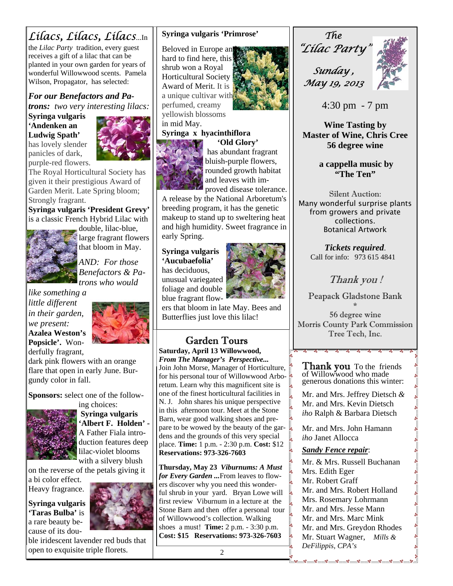## *Lilacs, Lilacs, Lilacs*...In

the *Lilac Party* tradition, every guest receives a gift of a lilac that can be planted in your own garden for years of wonderful Willowwood scents. Pamela Wilson, Propagator, has selected:

*For our Benefactors and Patrons: two very interesting lilacs:*  **Syringa vulgaris** 

**'Andenken an Ludwig Spath'**  has lovely slender

panicles of dark,



**ال** 

The Royal Horticultural Society has given it their prestigious Award of Garden Merit. Late Spring bloom; Strongly fragrant.

**Syringa vulgaris 'President Grevy'**  is a classic French Hybrid Lilac with double, lilac-blue,



large fragrant flowers that bloom in May.

*AND: For those Benefactors & Patrons who would* 

*like something a little different in their garden, we present:*  **Azalea Weston's Popsicle'.** Wonderfully fragrant,



dark pink flowers with an orange flare that open in early June. Burgundy color in fall.

**Sponsors:** select one of the follow-



ing choices:  **Syringa vulgaris 'Albert F. Holden' -**  A Father Fiala introduction features deep lilac-violet blooms with a silvery blush

on the reverse of the petals giving it

a bi color effect. Heavy fragrance.

**Syringa vulgaris 'Taras Bulba'** is a rare beauty because of its dou-



ble iridescent lavender red buds that open to exquisite triple florets.

#### **Syringa vulgaris 'Primrose'**

Beloved in Europe an hard to find here, this shrub won a Royal Horticultural Society Award of Merit. It is a unique cultivar with perfumed, creamy yellowish blossoms



#### in mid May. **Syringa x hyacinthiflora**

 **'Old Glory'**  has abundant fragrant bluish-purple flowers, rounded growth habitat and leaves with improved disease tolerance.

A release by the National Arboretum's breeding program, it has the genetic makeup to stand up to sweltering heat and high humidity. Sweet fragrance in early Spring.

**Syringa vulgaris 'Aucubaefolia'**  has deciduous, unusual variegated foliage and double blue fragrant flow-



ers that bloom in late May. Bees and Butterflies just love this lilac!

## Garden Tours

**Saturday, April 13 Willowwood,**  *From The Manager's Perspective...* Join John Morse, Manager of Horticulture, for his personal tour of Willowwood Arboretum. Learn why this magnificent site is one of the finest horticultural facilities in N. J. John shares his unique perspective in this afternoon tour. Meet at the Stone Barn, wear good walking shoes and prepare to be wowed by the beauty of the gardens and the grounds of this very special place. **Time:** 1 p.m. - 2:30 p.m. **Cost:** \$12 **Reservations: 973-326-7603** 

**Thursday, May 23** *Viburnums: A Must for Every Garden ...*From leaves to flowers discover why you need this wonderful shrub in your yard. Bryan Lowe will first review Viburnum in a lecture at the Stone Barn and then offer a personal tour  $\parallel$ of Willowwood's collection. Walking shoes a must! **Time:** 2 p.m. - 3:30 p.m. **Cost: \$15 Reservations: 973-326-7603** 



*Sunday , May 19, 2013* 



4:30 pm - 7 pm

**Wine Tasting by Master of Wine, Chris Cree 56 degree wine** 

> **a cappella music by "The Ten"**

Silent Auction: Many wonderful surprise plants from growers and private collections. Botanical Artwork

> *Tickets required*. Call for info: 973 615 4841

> > Thank you !

Peapack Gladstone Bank \*

56 degree wine Morris County Park Commission Tree Tech, Inc.

**Thank you** To the friends of Willowwood who made generous donations this winter:

Mr. and Mrs. Jeffrey Dietsch *&* Mr. and Mrs. Kevin Dietsch *iho* Ralph & Barbara Dietsch

Mr. and Mrs. John Hamann *iho* Janet Allocca

#### *Sandy Fence repair*:

Mr. & Mrs. Russell Buchanan Mrs. Edith Eger Mr. Robert Graff Mr. and Mrs. Robert Holland Mrs. Rosemary Lohrmann Mr. and Mrs. Jesse Mann Mr. and Mrs. Marc Mink Mr. and Mrs. Greydon Rhodes Mr. Stuart Wagner, *Mills & DeFilippis, CPA's* 

<u>ಳಿ ಳಿ ಳಿ ಳಿ ಳಿ ಳಿ ಳಿ ಳಿ ಳಿ</u>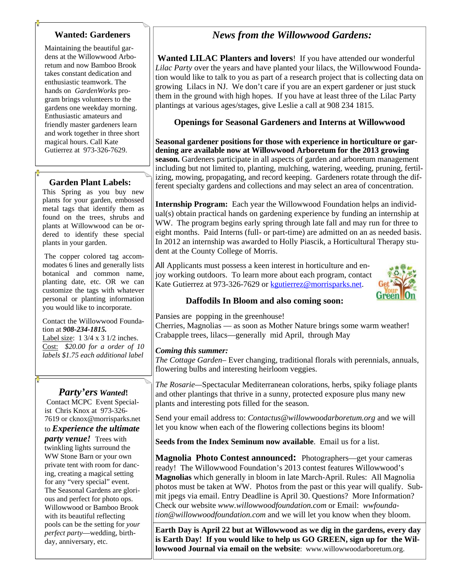#### **Wanted: Gardeners**

Maintaining the beautiful gardens at the Willowwood Arboretum and now Bamboo Brook takes constant dedication and enthusiastic teamwork. The hands on *GardenWorks* program brings volunteers to the gardens one weekday morning. Enthusiastic amateurs and friendly master gardeners learn and work together in three short magical hours. Call Kate Gutierrez at 973-326-7629.

#### **Garden Plant Labels:**

This Spring as you buy new plants for your garden, embossed metal tags that identify them as found on the trees, shrubs and plants at Willowwood can be ordered to identify these special plants in your garden.

 The copper colored tag accommodates 6 lines and generally lists botanical and common name, planting date, etc. OR we can customize the tags with whatever personal or planting information you would like to incorporate.

#### Contact the Willowwood Foundation at *908-234-1815.*

Label size: 1 3/4 x 3 1/2 inches. Cost: *\$20.00 for a order of 10 labels \$1.75 each additional label*

#### *Party'ers Wanted***!**

 Contact MCPC Event Specialist Chris Knox at 973-326- 7619 or cknox@morrisparks.net

#### to *Experience the ultimate*

*party venue!* Trees with twinkling lights surround the WW Stone Barn or your own private tent with room for dancing, creating a magical setting for any "very special" event. The Seasonal Gardens are glorious and perfect for photo ops. Willowwood or Bamboo Brook with its beautiful reflecting pools can be the setting for *your perfect party*—wedding, birthday, anniversary, etc.

#### *News from the Willowwood Gardens:*

**Wanted LILAC Planters and lovers**! If you have attended our wonderful *Lilac Party* over the years and have planted your lilacs, the Willowwood Foundation would like to talk to you as part of a research project that is collecting data on growing Lilacs in NJ. We don't care if you are an expert gardener or just stuck them in the ground with high hopes. If you have at least three of the Lilac Party plantings at various ages/stages, give Leslie a call at 908 234 1815.

#### **Openings for Seasonal Gardeners and Interns at Willowwood**

**Seasonal gardener positions for those with experience in horticulture or gardening are available now at Willowwood Arboretum for the 2013 growing season.** Gardeners participate in all aspects of garden and arboretum management including but not limited to, planting, mulching, watering, weeding, pruning, fertilizing, mowing, propagating, and record keeping. Gardeners rotate through the different specialty gardens and collections and may select an area of concentration.

**Internship Program:** Each year the Willowwood Foundation helps an individual(s) obtain practical hands on gardening experience by funding an internship at WW. The program begins early spring through late fall and may run for three to eight months. Paid Interns (full- or part-time) are admitted on an as needed basis. In 2012 an internship was awarded to Holly Piascik, a Horticultural Therapy student at the County College of Morris.

All Applicants must possess a keen interest in horticulture and enjoy working outdoors. To learn more about each program, contact Kate Gutierrez at 973-326-7629 or kgutierrez@morrisparks.net.



#### **Daffodils In Bloom and also coming soon:**

Pansies are popping in the greenhouse! Cherries, Magnolias — as soon as Mother Nature brings some warm weather! Crabapple trees, lilacs—generally mid April, through May

#### *Coming this summer:*

*The Cottage Garden*– Ever changing, traditional florals with perennials, annuals, flowering bulbs and interesting heirloom veggies.

*The Rosarie—*Spectacular Mediterranean colorations, herbs, spiky foliage plants and other plantings that thrive in a sunny, protected exposure plus many new plants and interesting pots filled for the season.

Send your email address to: *Contactus@willowwoodarboretum.org* and we will let you know when each of the flowering collections begins its bloom!

**Seeds from the Index Seminum now available**. Email us for a list.

**Magnolia Photo Contest announced:** Photographers—get your cameras ready! The Willowwood Foundation's 2013 contest features Willowwood's **Magnolias** which generally in bloom in late March-April. Rules: All Magnolia photos must be taken at WW. Photos from the past or this year will qualify. Submit jpegs via email. Entry Deadline is April 30. Questions? More Information? Check our website *www.willowwoodfoundation.com* or Email: *wwfoundation@willowwoodfoundation.com* and we will let you know when they bloom.

**Earth Day is April 22 but at Willowwood as we dig in the gardens, every day is Earth Day! If you would like to help us GO GREEN, sign up for the Willowwood Journal via email on the website**: www.willowwoodarboretum.org.